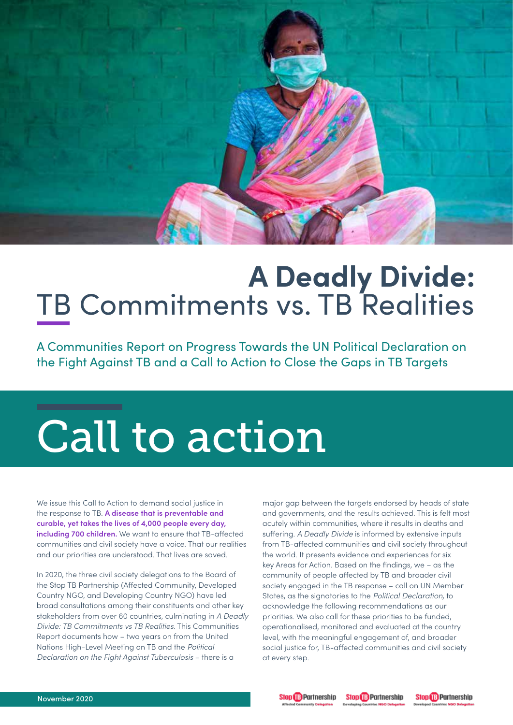

# **A Deadly Divide:** TB Commitments vs. TB Realities

A Communities Report on Progress Towards the UN Political Declaration on the Fight Against TB and a Call to Action to Close the Gaps in TB Targets

# Call to action

We issue this Call to Action to demand social justice in the response to TB. **A disease that is preventable and curable, yet takes the lives of 4,000 people every day, including 700 children.** We want to ensure that TB-affected communities and civil society have a voice. That our realities and our priorities are understood. That lives are saved.

In 2020, the three civil society delegations to the Board of the Stop TB Partnership (Affected Community, Developed Country NGO, and Developing Country NGO) have led broad consultations among their constituents and other key stakeholders from over 60 countries, culminating in *A Deadly Divide: TB Commitments vs TB Realities.* This Communities Report documents how – two years on from the United Nations High-Level Meeting on TB and the *Political Declaration on the Fight Against Tuberculosis* – there is a

major gap between the targets endorsed by heads of state and governments, and the results achieved. This is felt most acutely within communities, where it results in deaths and suffering. *A Deadly Divide* is informed by extensive inputs from TB-affected communities and civil society throughout the world. It presents evidence and experiences for six key Areas for Action. Based on the findings, we – as the community of people affected by TB and broader civil society engaged in the TB response – call on UN Member States, as the signatories to the *Political Declaration,* to acknowledge the following recommendations as our priorities. We also call for these priorities to be funded, operationalised, monitored and evaluated at the country level, with the meaningful engagement of, and broader social justice for, TB-affected communities and civil society at every step.





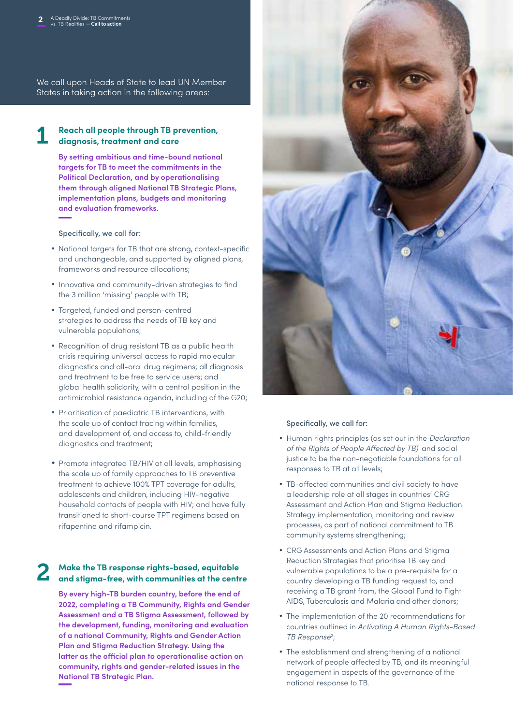We call upon Heads of State to lead UN Member States in taking action in the following areas:

#### **Reach all people through TB prevention, diagnosis, treatment and care**  1

**By setting ambitious and time-bound national targets for TB to meet the commitments in the Political Declaration, and by operationalising them through aligned National TB Strategic Plans, implementation plans, budgets and monitoring and evaluation frameworks.** 

Specifically, we call for:

- National targets for TB that are strong, context-specific and unchangeable, and supported by aligned plans, frameworks and resource allocations;
- Innovative and community-driven strategies to find the 3 million 'missing' people with TB;
- Targeted, funded and person-centred strategies to address the needs of TB key and vulnerable populations;
- Recognition of drug resistant TB as a public health crisis requiring universal access to rapid molecular diagnostics and all-oral drug regimens; all diagnosis and treatment to be free to service users; and global health solidarity, with a central position in the antimicrobial resistance agenda, including of the G20;
- Prioritisation of paediatric TB interventions, with the scale up of contact tracing within families, and development of, and access to, child-friendly diagnostics and treatment;
- Promote integrated TB/HIV at all levels, emphasising the scale up of family approaches to TB preventive treatment to achieve 100% TPT coverage for adults, adolescents and children, including HIV-negative household contacts of people with HIV; and have fully transitioned to short-course TPT regimens based on rifapentine and rifampicin.

# **Make the TB response rights-based, equitable a** Make the TB response rights-based, equitable<br>and stigma-free, with communities at the centre

**By every high-TB burden country, before the end of 2022, completing a TB Community, Rights and Gender Assessment and a TB Stigma Assessment, followed by the development, funding, monitoring and evaluation of a national Community, Rights and Gender Action Plan and Stigma Reduction Strategy. Using the latter as the official plan to operationalise action on community, rights and gender-related issues in the National TB Strategic Plan.**



#### Specifically, we call for:

- • Human rights principles (as set out in the *Declaration of the Rights of People Affected by TB)*<sup>1</sup> and social justice to be the non-negotiable foundations for all responses to TB at all levels;
- TB-affected communities and civil society to have a leadership role at all stages in countries' CRG Assessment and Action Plan and Stigma Reduction Strategy implementation, monitoring and review processes, as part of national commitment to TB community systems strengthening;
- • CRG Assessments and Action Plans and Stigma Reduction Strategies that prioritise TB key and vulnerable populations to be a pre-requisite for a country developing a TB funding request to, and receiving a TB grant from, the Global Fund to Fight AIDS, Tuberculosis and Malaria and other donors;
- The implementation of the 20 recommendations for countries outlined in *Activating A Human Rights-Based TB Response*<sup>2</sup> ;
- The establishment and strengthening of a national network of people affected by TB, and its meaningful engagement in aspects of the governance of the national response to TB.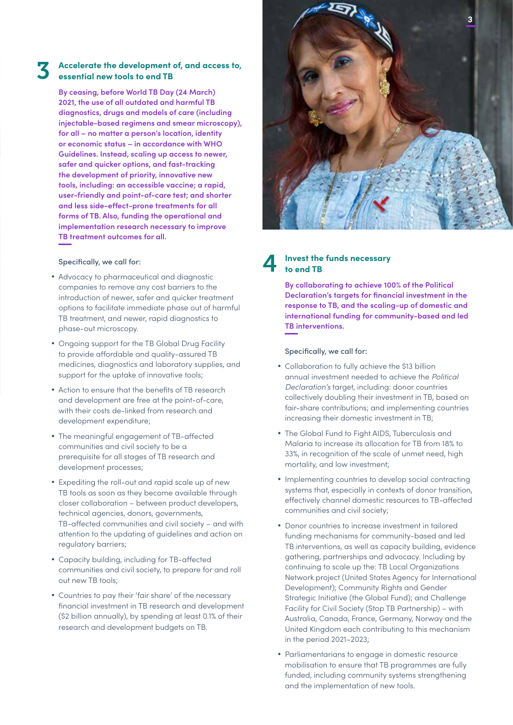#### **Accelerate the development of, and access to, essential new tools to end TB** 3

**By ceasing, before World TB Day (24 March) 2021, the use of all outdated and harmful TB diagnostics, drugs and models of care (including injectable-based regimens and smear microscopy), for all – no matter a person's location, identity or economic status – in accordance with WHO Guidelines. Instead, scaling up access to newer, safer and quicker options, and fast-tracking the development of priority, innovative new tools, including: an accessible vaccine; a rapid, user-friendly and point-of-care test; and shorter and less side-effect-prone treatments for all forms of TB. Also, funding the operational and implementation research necessary to improve TB treatment outcomes for all.** 

#### Specifically, we call for:

- Advocacy to pharmaceutical and diagnostic companies to remove any cost barriers to the introduction of newer, safer and quicker treatment options to facilitate immediate phase out of harmful TB treatment, and newer, rapid diagnostics to phase-out microscopy.
- Ongoing support for the TB Global Drug Facility to provide affordable and quality-assured TB medicines, diagnostics and laboratory supplies, and support for the uptake of innovative tools;
- Action to ensure that the benefits of TB research and development are free at the point-of-care, with their costs de-linked from research and development expenditure;
- The meaningful engagement of TB-affected communities and civil society to be a prerequisite for all stages of TB research and development processes;
- Expediting the roll-out and rapid scale up of new TB tools as soon as they become available through closer collaboration – between product developers, technical agencies, donors, governments, TB-affected communities and civil society – and with attention to the updating of guidelines and action on regulatory barriers;
- • Capacity building, including for TB-affected communities and civil society, to prepare for and roll out new TB tools;
- Countries to pay their 'fair share' of the necessary financial investment in TB research and development (\$2 billion annually), by spending at least 0.1% of their research and development budgets on TB.



#### **Invest the funds necessary to end TB** 4

**By collaborating to achieve 100% of the Political Declaration's targets for financial investment in the response to TB, and the scaling-up of domestic and international funding for community-based and led TB interventions.** 

Specifically, we call for:

- Collaboration to fully achieve the \$13 billion annual investment needed to achieve the *Political Declaration's* target, including: donor countries collectively doubling their investment in TB, based on fair-share contributions; and implementing countries increasing their domestic investment in TB;
- The Global Fund to Fiaht AIDS, Tuberculosis and Malaria to increase its allocation for TB from 18% to 33%, in recognition of the scale of unmet need, high mortality, and low investment;
- Implementing countries to develop social contracting systems that, especially in contexts of donor transition, effectively channel domestic resources to TB-affected communities and civil society;
- Donor countries to increase investment in tailored funding mechanisms for community-based and led TB interventions, as well as capacity building, evidence gathering, partnerships and advocacy. Including by continuing to scale up the: TB Local Organizations Network project (United States Agency for International Development); Community Rights and Gender Strategic Initiative (the Global Fund); and Challenge Facility for Civil Society (Stop TB Partnership) – with Australia, Canada, France, Germany, Norway and the United Kingdom each contributing to this mechanism in the period 2021–2023;
- Parliamentarians to engage in domestic resource mobilisation to ensure that TB programmes are fully funded, including community systems strengthening and the implementation of new tools.